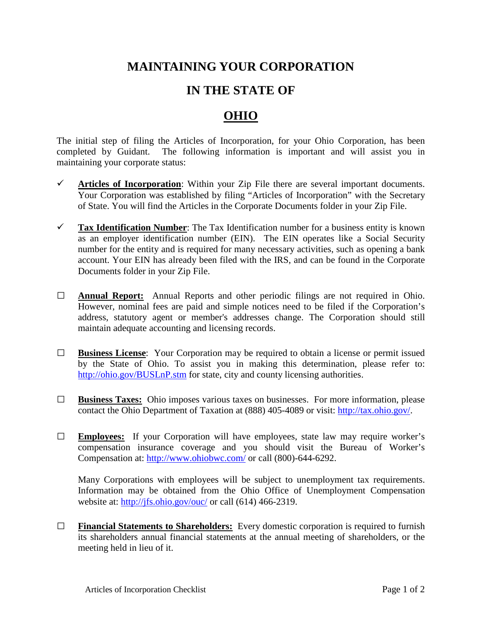## **MAINTAINING YOUR CORPORATION**

## **IN THE STATE OF**

## **OHIO**

The initial step of filing the Articles of Incorporation, for your Ohio Corporation, has been completed by Guidant. The following information is important and will assist you in maintaining your corporate status:

- $\checkmark$  Articles of Incorporation: Within your Zip File there are several important documents. Your Corporation was established by filing "Articles of Incorporation" with the Secretary of State. You will find the Articles in the Corporate Documents folder in your Zip File.
- **Tax Identification Number**: The Tax Identification number for a business entity is known as an employer identification number (EIN). The EIN operates like a Social Security number for the entity and is required for many necessary activities, such as opening a bank account. Your EIN has already been filed with the IRS, and can be found in the Corporate Documents folder in your Zip File.
- **□ Annual Report:** Annual Reports and other periodic filings are not required in Ohio. However, nominal fees are paid and simple notices need to be filed if the Corporation's address, statutory agent or member's addresses change. The Corporation should still maintain adequate accounting and licensing records.
- **□ Business License**: Your Corporation may be required to obtain a license or permit issued by the State of Ohio. To assist you in making this determination, please refer to: <http://ohio.gov/BUSLnP.stm> for state, city and county licensing authorities.
- **□ Business Taxes:** Ohio imposes various taxes on businesses. For more information, please contact the Ohio Department of Taxation at (888) 405-4089 or visit: [http://tax.ohio.gov/.](http://tax.ohio.gov/)
- **□ Employees:** If your Corporation will have employees, state law may require worker's compensation insurance coverage and you should visit the Bureau of Worker's Compensation at: <http://www.ohiobwc.com/> or call (800)-644-6292.

Many Corporations with employees will be subject to unemployment tax requirements. Information may be obtained from the Ohio Office of Unemployment Compensation website at:<http://jfs.ohio.gov/ouc/> or call (614) 466-2319.

**□ Financial Statements to Shareholders:** Every domestic corporation is required to furnish its shareholders annual financial statements at the annual meeting of shareholders, or the meeting held in lieu of it.